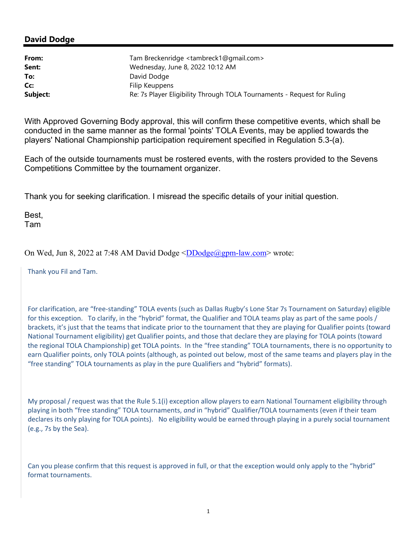## **David Dodge**

| From:    | Tam Breckenridge <tambreck1@gmail.com></tambreck1@gmail.com>            |
|----------|-------------------------------------------------------------------------|
| Sent:    | Wednesday, June 8, 2022 10:12 AM                                        |
| To:      | David Dodge                                                             |
| Cc:      | Filip Keuppens                                                          |
| Subject: | Re: 7s Player Eligibility Through TOLA Tournaments - Request for Ruling |

With Approved Governing Body approval, this will confirm these competitive events, which shall be conducted in the same manner as the formal 'points' TOLA Events, may be applied towards the players' National Championship participation requirement specified in Regulation 5.3-(a).

Each of the outside tournaments must be rostered events, with the rosters provided to the Sevens Competitions Committee by the tournament organizer.

Thank you for seeking clarification. I misread the specific details of your initial question.

Best, Tam

On Wed, Jun 8, 2022 at 7:48 AM David Dodge  $\langle \text{DDodge}(\text{logmm-law.com} \rangle$  wrote:

Thank you Fil and Tam.

For clarification, are "free‐standing" TOLA events (such as Dallas Rugby's Lone Star 7s Tournament on Saturday) eligible for this exception. To clarify, in the "hybrid" format, the Qualifier and TOLA teams play as part of the same pools / brackets, it's just that the teams that indicate prior to the tournament that they are playing for Qualifier points (toward National Tournament eligibility) get Qualifier points, and those that declare they are playing for TOLA points (toward the regional TOLA Championship) get TOLA points. In the "free standing" TOLA tournaments, there is no opportunity to earn Qualifier points, only TOLA points (although, as pointed out below, most of the same teams and players play in the "free standing" TOLA tournaments as play in the pure Qualifiers and "hybrid" formats).

My proposal / request was that the Rule 5.1(i) exception allow players to earn National Tournament eligibility through playing in both "free standing" TOLA tournaments, *and* in "hybrid" Qualifier/TOLA tournaments (even if their team declares its only playing for TOLA points). No eligibility would be earned through playing in a purely social tournament (e.g., 7s by the Sea).

Can you please confirm that this request is approved in full, or that the exception would only apply to the "hybrid" format tournaments.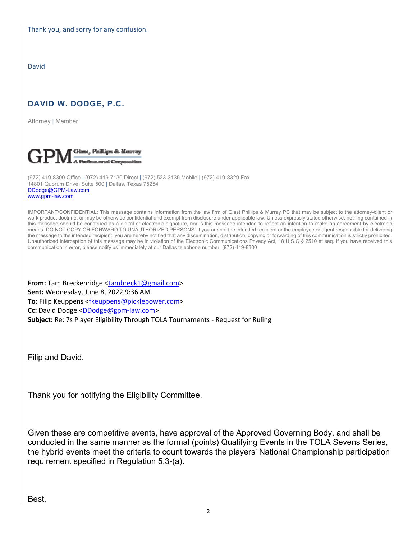Thank you, and sorry for any confusion.

David

## **DAVID W. DODGE, P.C.**

Attorney | Member



(972) 419-8300 Office | (972) 419-7130 Direct | (972) 523-3135 Mobile | (972) 419-8329 Fax 14801 Quorum Drive, Suite 500 | Dallas, Texas 75254 DDodge@GPM-Law.com www.gpm-law.com

IMPORTANT\CONFIDENTIAL: This message contains information from the law firm of Glast Phillips & Murray PC that may be subject to the attorney-client or work product doctrine, or may be otherwise confidential and exempt from disclosure under applicable law. Unless expressly stated otherwise, nothing contained in this message should be construed as a digital or electronic signature, nor is this message intended to reflect an intention to make an agreement by electronic means. DO NOT COPY OR FORWARD TO UNAUTHORIZED PERSONS. If you are not the intended recipient or the employee or agent responsible for delivering the message to the intended recipient, you are hereby notified that any dissemination, distribution, copying or forwarding of this communication is strictly prohibited. Unauthorized interception of this message may be in violation of the Electronic Communications Privacy Act, 18 U.S.C § 2510 et seq. If you have received this communication in error, please notify us immediately at our Dallas telephone number: (972) 419-8300

**From:** Tam Breckenridge <tambreck1@gmail.com> **Sent:** Wednesday, June 8, 2022 9:36 AM **To:** Filip Keuppens <fkeuppens@picklepower.com> **Cc:** David Dodge <DDodge@gpm‐law.com> **Subject:** Re: 7s Player Eligibility Through TOLA Tournaments ‐ Request for Ruling

Filip and David.

Thank you for notifying the Eligibility Committee.

Given these are competitive events, have approval of the Approved Governing Body, and shall be conducted in the same manner as the formal (points) Qualifying Events in the TOLA Sevens Series, the hybrid events meet the criteria to count towards the players' National Championship participation requirement specified in Regulation 5.3-(a).

Best,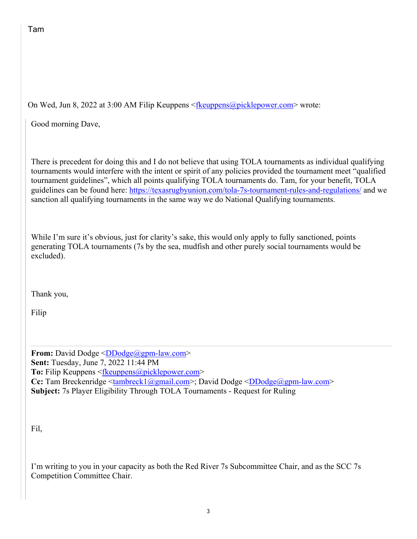On Wed, Jun 8, 2022 at 3:00 AM Filip Keuppens <fr  $\langle \frac{\text{Reuppens}}{\text{Euler}} \rangle$  = wrote:

Good morning Dave,

There is precedent for doing this and I do not believe that using TOLA tournaments as individual qualifying tournaments would interfere with the intent or spirit of any policies provided the tournament meet "qualified tournament guidelines", which all points qualifying TOLA tournaments do. Tam, for your benefit, TOLA guidelines can be found here: https://texasrugbyunion.com/tola-7s-tournament-rules-and-regulations/ and we sanction all qualifying tournaments in the same way we do National Qualifying tournaments.

While I'm sure it's obvious, just for clarity's sake, this would only apply to fully sanctioned, points generating TOLA tournaments (7s by the sea, mudfish and other purely social tournaments would be excluded).

Thank you,

Filip

**From:** David Dodge <DDodge@gpm-law.com> **Sent:** Tuesday, June 7, 2022 11:44 PM **To:** Filip Keuppens <fkeuppens@picklepower.com> **Cc:** Tam Breckenridge <tambreck1@gmail.com>; David Dodge < $D$ Dodge@gpm-law.com> **Subject:** 7s Player Eligibility Through TOLA Tournaments - Request for Ruling

Fil,

I'm writing to you in your capacity as both the Red River 7s Subcommittee Chair, and as the SCC 7s Competition Committee Chair.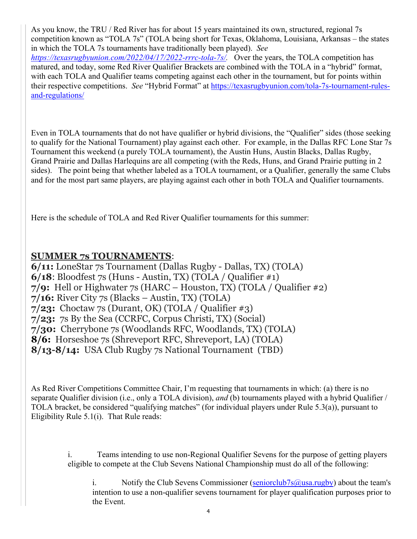As you know, the TRU / Red River has for about 15 years maintained its own, structured, regional 7s competition known as "TOLA 7s" (TOLA being short for Texas, Oklahoma, Louisiana, Arkansas – the states in which the TOLA 7s tournaments have traditionally been played). *See https://texasrugbyunion.com/2022/04/17/2022-rrrc-tola-7s/.* Over the years, the TOLA competition has matured, and today, some Red River Qualifier Brackets are combined with the TOLA in a "hybrid" format, with each TOLA and Qualifier teams competing against each other in the tournament, but for points within their respective competitions. *See* "Hybrid Format" at https://texasrugbyunion.com/tola-7s-tournament-rulesand-regulations/

Even in TOLA tournaments that do not have qualifier or hybrid divisions, the "Qualifier" sides (those seeking to qualify for the National Tournament) play against each other. For example, in the Dallas RFC Lone Star 7s Tournament this weekend (a purely TOLA tournament), the Austin Huns, Austin Blacks, Dallas Rugby, Grand Prairie and Dallas Harlequins are all competing (with the Reds, Huns, and Grand Prairie putting in 2 sides). The point being that whether labeled as a TOLA tournament, or a Qualifier, generally the same Clubs and for the most part same players, are playing against each other in both TOLA and Qualifier tournaments.

Here is the schedule of TOLA and Red River Qualifier tournaments for this summer:

## **SUMMER 7s TOURNAMENTS**:

**6/11:** LoneStar 7s Tournament (Dallas Rugby - Dallas, TX) (TOLA) **6/18**: Bloodfest 7s (Huns - Austin, TX) (TOLA / Qualifier #1) **7/9:** Hell or Highwater 7s (HARC – Houston, TX) (TOLA / Qualifier #2) **7/16:** River City 7s (Blacks – Austin, TX) (TOLA) **7/23:** Choctaw 7s (Durant, OK) (TOLA / Qualifier #3) **7/23:** 7s By the Sea (CCRFC, Corpus Christi, TX) (Social) **7/30:** Cherrybone 7s (Woodlands RFC, Woodlands, TX) (TOLA) **8/6:** Horseshoe 7s (Shreveport RFC, Shreveport, LA) (TOLA) **8/13-8/14:** USA Club Rugby 7s National Tournament (TBD)

As Red River Competitions Committee Chair, I'm requesting that tournaments in which: (a) there is no separate Qualifier division (i.e., only a TOLA division), *and* (b) tournaments played with a hybrid Qualifier / TOLA bracket, be considered "qualifying matches" (for individual players under Rule 5.3(a)), pursuant to Eligibility Rule 5.1(i). That Rule reads:

> i. Teams intending to use non-Regional Qualifier Sevens for the purpose of getting players eligible to compete at the Club Sevens National Championship must do all of the following:

i. Notify the Club Sevens Commissioner (seniorclub7s $\omega$ usa.rugby) about the team's intention to use a non-qualifier sevens tournament for player qualification purposes prior to the Event.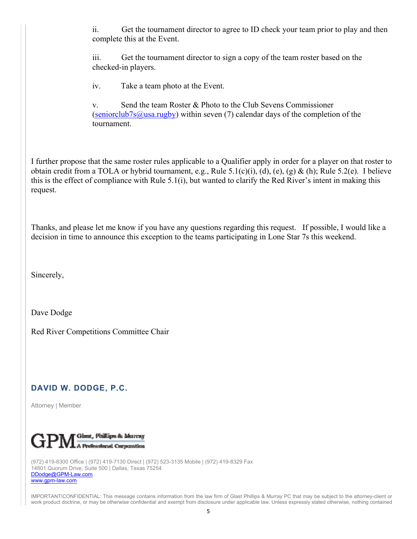ii. Get the tournament director to agree to ID check your team prior to play and then complete this at the Event.

iii. Get the tournament director to sign a copy of the team roster based on the checked-in players.

iv. Take a team photo at the Event.

v. Send the team Roster & Photo to the Club Sevens Commissioner (seniorclub7s@usa.rugby) within seven (7) calendar days of the completion of the tournament.

I further propose that the same roster rules applicable to a Qualifier apply in order for a player on that roster to obtain credit from a TOLA or hybrid tournament, e.g., Rule 5.1(c)(i), (d), (e), (g) & (h); Rule 5.2(e). I believe this is the effect of compliance with Rule 5.1(i), but wanted to clarify the Red River's intent in making this request.

Thanks, and please let me know if you have any questions regarding this request. If possible, I would like a decision in time to announce this exception to the teams participating in Lone Star 7s this weekend.

Sincerely,

Dave Dodge

Red River Competitions Committee Chair

## **DAVID W. DODGE, P.C.**

Attorney | Member



(972) 419-8300 Office | (972) 419-7130 Direct | (972) 523-3135 Mobile | (972) 419-8329 Fax 14801 Quorum Drive, Suite 500 | Dallas, Texas 75254 DDodge@GPM-Law.com www.gpm-law.com

IMPORTANT\CONFIDENTIAL: This message contains information from the law firm of Glast Phillips & Murray PC that may be subject to the attorney-client or work product doctrine, or may be otherwise confidential and exempt from disclosure under applicable law. Unless expressly stated otherwise, nothing contained